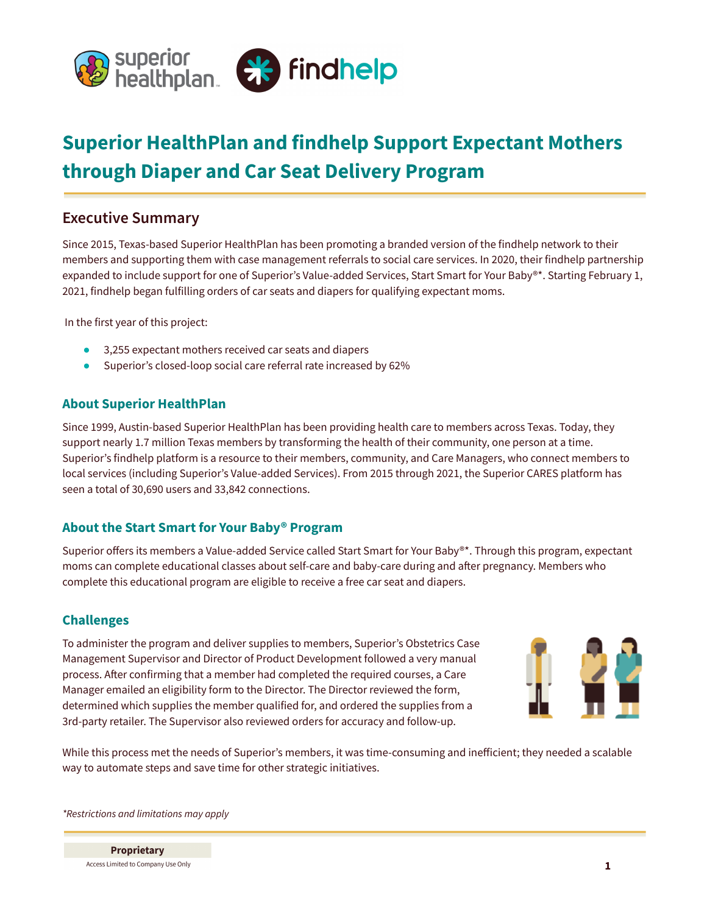

# **Superior HealthPlan and findhelp Support Expectant Mothers through Diaper and Car Seat Delivery Program**

# **Executive Summary**

Since 2015, Texas-based Superior HealthPlan has been promoting a branded version of the findhelp network to their members and supporting them with case management referrals to social care services. In 2020, their findhelp partnership expanded to include support for one of Superior's Value-added Services, Start Smart for Your Baby®\*. Starting February 1, 2021, findhelp began fulfilling orders of car seats and diapers for qualifying expectant moms.

In the first year of this project:

- 3,255 expectant mothers received car seats and diapers
- Superior's closed-loop social care referral rate increased by 62%

### **About Superior HealthPlan**

Since 1999, Austin-based Superior HealthPlan has been providing health care to members across Texas. Today, they support nearly 1.7 million Texas members by transforming the health of their community, one person at a time. Superior's findhelp platform is a resource to their members, community, and Care Managers, who connect members to local services (including Superior's Value-added Services). From 2015 through 2021, the Superior CARES platform has seen a total of 30,690 users and 33,842 connections.

# **About the Start Smart for Your Baby® Program**

Superior offers its members a Value-added Service called Start Smart for Your Baby®\*. Through this program, expectant moms can complete educational classes about self-care and baby-care during and after pregnancy. Members who complete this educational program are eligible to receive a free car seat and diapers.

#### **Challenges**

To administer the program and deliver supplies to members, Superior's Obstetrics Case Management Supervisor and Director of Product Development followed a very manual process. After confirming that a member had completed the required courses, a Care Manager emailed an eligibility form to the Director. The Director reviewed the form, determined which supplies the member qualified for, and ordered the supplies from a 3rd-party retailer. The Supervisor also reviewed orders for accuracy and follow-up.



While this process met the needs of Superior's members, it was time-consuming and inefficient; they needed a scalable way to automate steps and save time for other strategic initiatives.

*\*Restrictions and limitations may apply*

**Proprietary** Access Limited to Company Use Only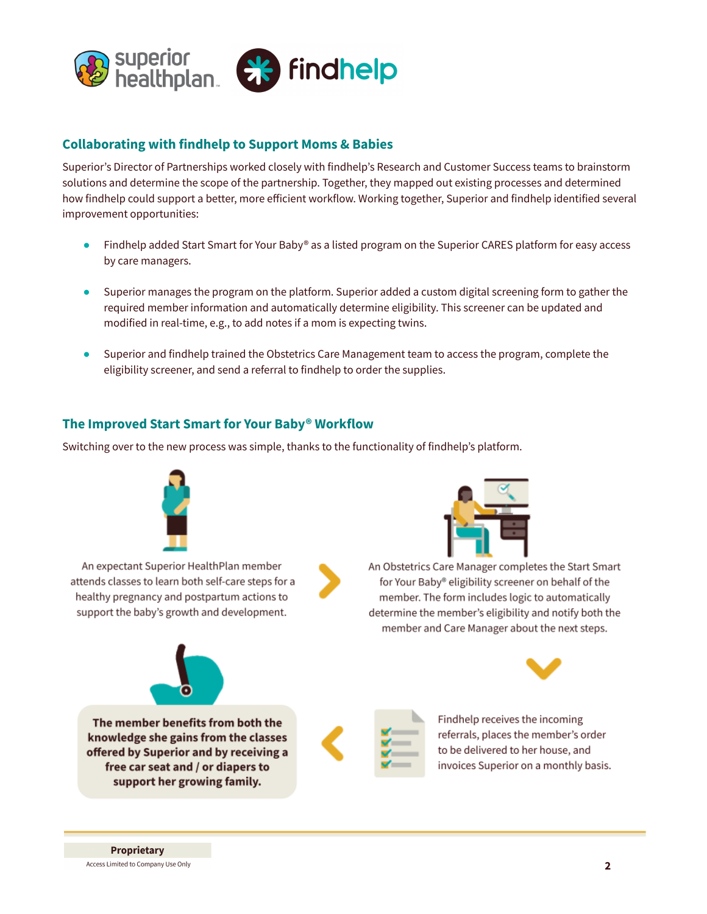

#### **Collaborating with findhelp to Support Moms & Babies**

Superior's Director of Partnerships worked closely with findhelp's Research and Customer Success teams to brainstorm solutions and determine the scope of the partnership. Together, they mapped out existing processes and determined how findhelp could support a better, more efficient workflow. Working together, Superior and findhelp identified several improvement opportunities:

- Findhelp added Start Smart for Your Baby® as a listed program on the Superior CARES platform for easy access by care managers.
- Superior manages the program on the platform. Superior added a custom digital screening form to gather the required member information and automatically determine eligibility. This screener can be updated and modified in real-time, e.g., to add notes if a mom is expecting twins.
- Superior and findhelp trained the Obstetrics Care Management team to access the program, complete the eligibility screener, and send a referral to findhelp to order the supplies.

#### **The Improved Start Smart for Your Baby® Workflow**

Switching over to the new process was simple, thanks to the functionality of findhelp's platform.